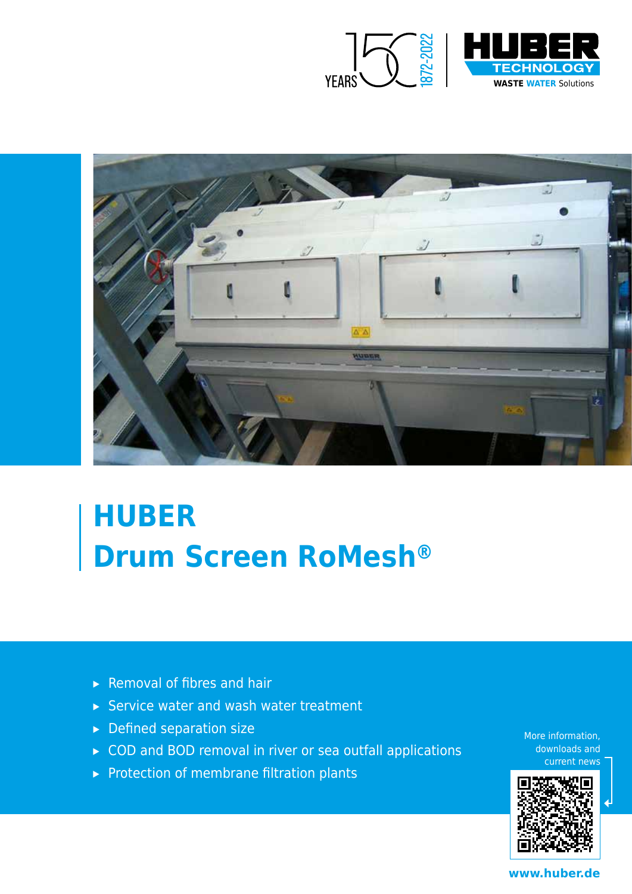



# **HUBER Drum Screen RoMesh®**

- ▸ Removal of fibres and hair
- ▸ Service water and wash water treatment
- ▸ Defined separation size
- ▸ COD and BOD removal in river or sea outfall applications
- ▸ Protection of membrane filtration plants

More information, downloads and current news



**www.huber.de**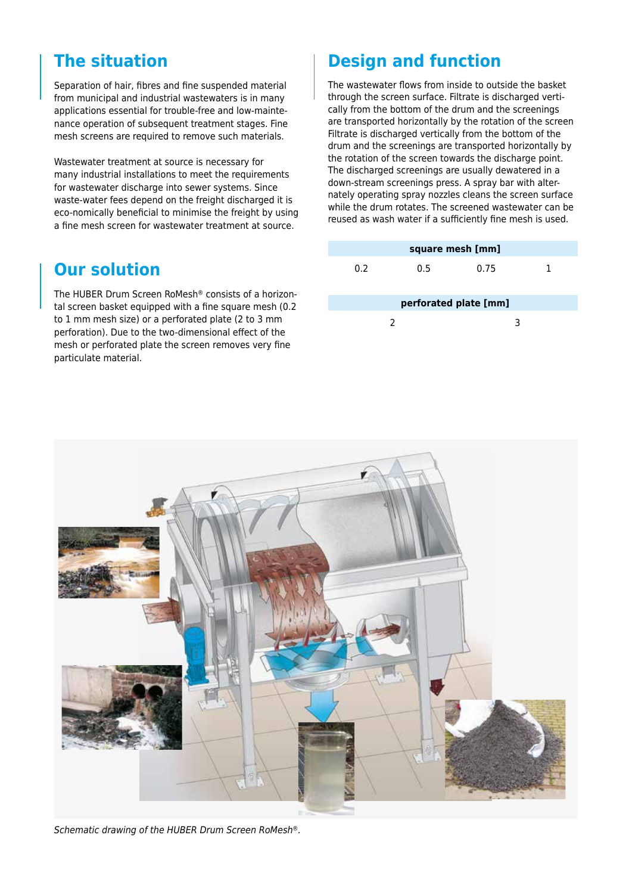### **The situation**

Separation of hair, fibres and fine suspended material from municipal and industrial wastewaters is in many applications essential for trouble-free and low-maintenance operation of subsequent treatment stages. Fine mesh screens are required to remove such materials.

Wastewater treatment at source is necessary for many industrial installations to meet the requirements for wastewater discharge into sewer systems. Since waste-water fees depend on the freight discharged it is eco-nomically beneficial to minimise the freight by using a fine mesh screen for wastewater treatment at source.

### **Our solution**

The HUBER Drum Screen RoMesh® consists of a horizontal screen basket equipped with a fine square mesh (0.2 to 1 mm mesh size) or a perforated plate (2 to 3 mm perforation). Due to the two-dimensional effect of the mesh or perforated plate the screen removes very fine particulate material.

## **Design and function**

The wastewater flows from inside to outside the basket through the screen surface. Filtrate is discharged vertically from the bottom of the drum and the screenings are transported horizontally by the rotation of the screen Filtrate is discharged vertically from the bottom of the drum and the screenings are transported horizontally by the rotation of the screen towards the discharge point. The discharged screenings are usually dewatered in a down-stream screenings press. A spray bar with alternately operating spray nozzles cleans the screen surface while the drum rotates. The screened wastewater can be reused as wash water if a sufficiently fine mesh is used.

| square mesh [mm]      |     |      |   |
|-----------------------|-----|------|---|
| 0.2                   | 0.5 | 0.75 | 1 |
| perforated plate [mm] |     |      |   |
| 2                     |     | з    |   |



*Schematic drawing of the HUBER Drum Screen RoMesh®.*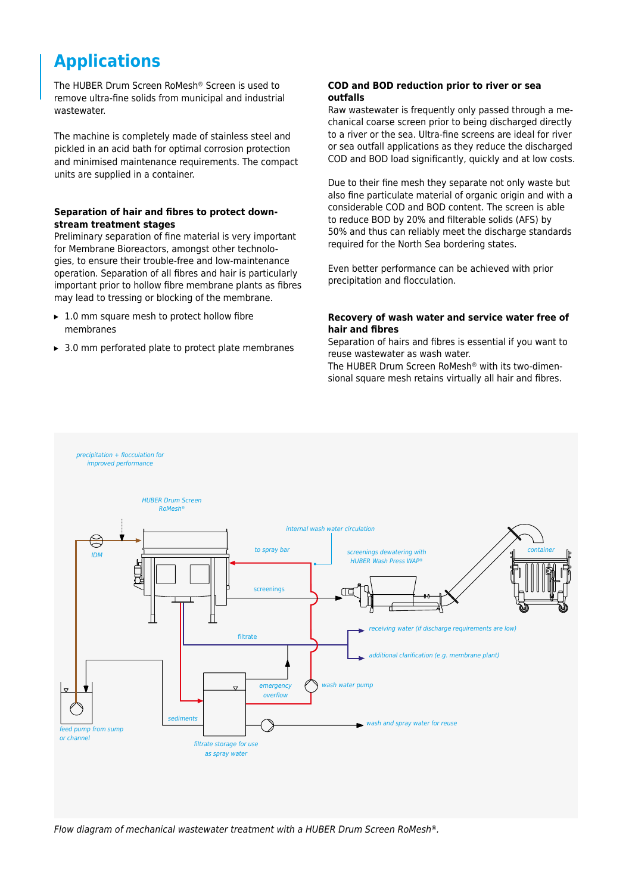# **Applications**

The HUBER Drum Screen RoMesh® Screen is used to remove ultra-fine solids from municipal and industrial wastewater.

The machine is completely made of stainless steel and pickled in an acid bath for optimal corrosion protection and minimised maintenance requirements. The compact units are supplied in a container.

#### **Separation of hair and fibres to protect downstream treatment stages**

Preliminary separation of fine material is very important for Membrane Bioreactors, amongst other technologies, to ensure their trouble-free and low-maintenance operation. Separation of all fibres and hair is particularly important prior to hollow fibre membrane plants as fibres may lead to tressing or blocking of the membrane.

- $\blacktriangleright$  1.0 mm square mesh to protect hollow fibre membranes
- ▸ 3.0 mm perforated plate to protect plate membranes

#### **COD and BOD reduction prior to river or sea outfalls**

Raw wastewater is frequently only passed through a mechanical coarse screen prior to being discharged directly to a river or the sea. Ultra-fine screens are ideal for river or sea outfall applications as they reduce the discharged COD and BOD load significantly, quickly and at low costs.

Due to their fine mesh they separate not only waste but also fine particulate material of organic origin and with a considerable COD and BOD content. The screen is able to reduce BOD by 20% and filterable solids (AFS) by 50% and thus can reliably meet the discharge standards required for the North Sea bordering states.

Even better performance can be achieved with prior precipitation and flocculation.

#### **Recovery of wash water and service water free of hair and fibres**

Separation of hairs and fibres is essential if you want to reuse wastewater as wash water.

The HUBER Drum Screen RoMesh® with its two-dimensional square mesh retains virtually all hair and fibres.



*Flow diagram of mechanical wastewater treatment with a HUBER Drum Screen RoMesh®.*